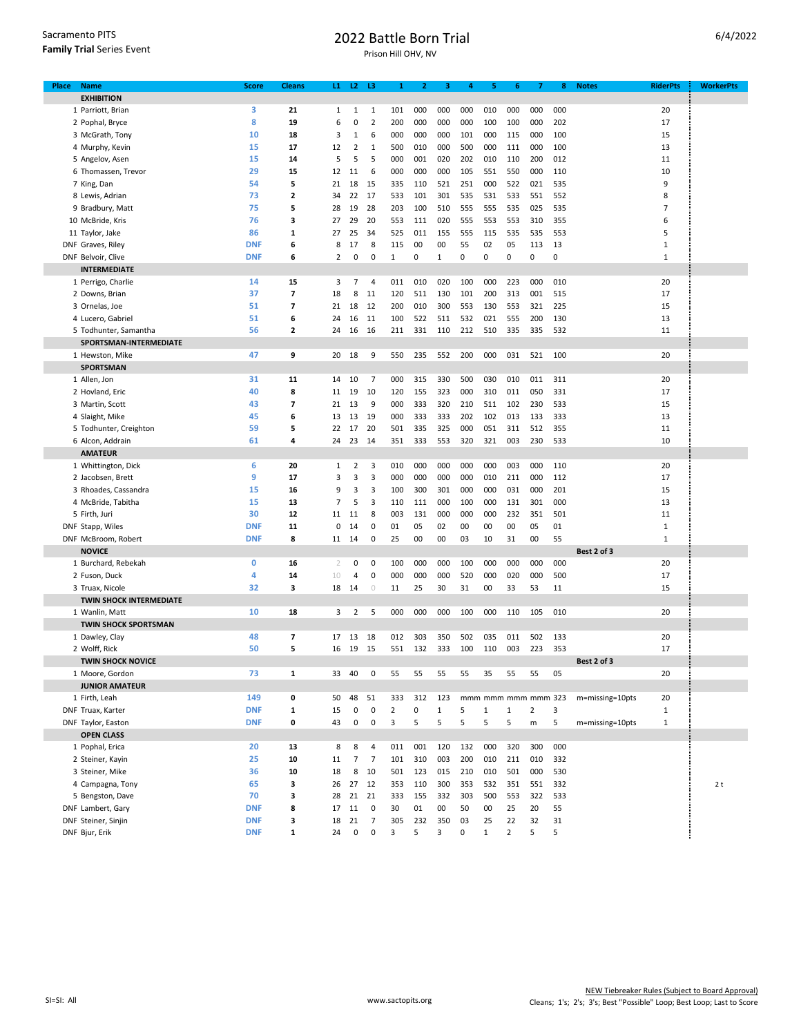| Sacramento PITS                  |
|----------------------------------|
| <b>Family Trial Series Event</b> |

## 2022 Battle Born Trial

Prison Hill OHV, NV

| Place | <b>Name</b>                    | <b>Score</b> | <b>Cleans</b>            | L1.          |                | $L2$ $L3$      | 1              | 2   | 3     | 4   | 5                   | 6              | 7                       | 8   | <b>Notes</b>    | <b>RiderPts</b> | <b>WorkerPts</b> |
|-------|--------------------------------|--------------|--------------------------|--------------|----------------|----------------|----------------|-----|-------|-----|---------------------|----------------|-------------------------|-----|-----------------|-----------------|------------------|
|       | <b>EXHIBITION</b>              |              |                          |              |                |                |                |     |       |     |                     |                |                         |     |                 |                 |                  |
|       | 1 Parriott, Brian              | 3            | 21                       | $\mathbf{1}$ | $\mathbf{1}$   | $\mathbf{1}$   | 101            | 000 | 000   | 000 | 010                 | 000            | 000                     | 000 |                 | 20              |                  |
|       | 2 Pophal, Bryce                | 8            | 19                       | 6            | 0              | $\overline{2}$ | 200            | 000 | 000   | 000 | 100                 | 100            | 000                     | 202 |                 | 17              |                  |
|       | 3 McGrath, Tony                | 10           | 18                       | 3            | 1              | 6              | 000            | 000 | 000   | 101 | 000                 | 115            | 000                     | 100 |                 | 15              |                  |
|       | 4 Murphy, Kevin                | 15           | 17                       | 12           | 2              | 1              | 500            | 010 | 000   | 500 | 000                 | 111            | 000                     | 100 |                 | 13              |                  |
|       | 5 Angelov, Asen                | 15           | 14                       | 5            | 5              | 5              | 000            | 001 | 020   | 202 | 010                 | 110            | 200                     | 012 |                 | 11              |                  |
|       | 6 Thomassen, Trevor            | 29           | 15                       | 12           | 11             | 6              | 000            | 000 | 000   | 105 | 551                 | 550            | 000                     | 110 |                 | 10              |                  |
|       | 7 King, Dan                    | 54           | 5                        | 21           | 18             | 15             | 335            | 110 | 521   | 251 | 000                 | 522            | 021                     | 535 |                 | 9               |                  |
|       | 8 Lewis, Adrian                | 73           | $\mathbf{z}$             | 34           | 22             | 17             | 533            | 101 | 301   | 535 | 531                 | 533            | 551                     | 552 |                 | 8               |                  |
|       | 9 Bradbury, Matt               | 75           | 5                        | 28           | 19             | 28             | 203            | 100 | 510   | 555 | 555                 | 535            | 025                     | 535 |                 | $\overline{7}$  |                  |
|       | 10 McBride, Kris               | 76           | 3                        | 27           | 29             | 20             | 553            | 111 | 020   | 555 | 553                 | 553            | 310                     | 355 |                 | 6               |                  |
|       | 11 Taylor, Jake                | 86           | $\mathbf{1}$             |              |                |                | 525            |     |       |     |                     |                |                         |     |                 | 5               |                  |
|       |                                |              |                          | 27           | 25             | 34             |                | 011 | 155   | 555 | 115                 | 535            | 535                     | 553 |                 |                 |                  |
|       | DNF Graves, Riley              | <b>DNF</b>   | 6                        | 8            | 17             | 8              | 115            | 00  | 00    | 55  | 02                  | 05             | 113                     | 13  |                 | $\mathbf{1}$    |                  |
|       | DNF Belvoir, Clive             | <b>DNF</b>   | 6                        | 2            | 0              | 0              | $\mathbf{1}$   | 0   | 1     | 0   | 0                   | 0              | 0                       | 0   |                 | $\mathbf{1}$    |                  |
|       | <b>INTERMEDIATE</b>            |              |                          |              |                |                |                |     |       |     |                     |                |                         |     |                 |                 |                  |
|       | 1 Perrigo, Charlie             | 14           | 15                       | 3            | $\overline{7}$ | 4              | 011            | 010 | 020   | 100 | 000                 | 223            | 000                     | 010 |                 | 20              |                  |
|       | 2 Downs, Brian                 | 37           | $\overline{\phantom{a}}$ | 18           | 8              | 11             | 120            | 511 | 130   | 101 | 200                 | 313            | 001                     | 515 |                 | 17              |                  |
|       | 3 Ornelas, Joe                 | 51           | $\overline{7}$           | 21           | 18             | 12             | 200            | 010 | 300   | 553 | 130                 | 553            | 321                     | 225 |                 | 15              |                  |
|       | 4 Lucero, Gabriel              | 51           | 6                        | 24           | 16             | 11             | 100            | 522 | 511   | 532 | 021                 | 555            | 200                     | 130 |                 | 13              |                  |
|       | 5 Todhunter, Samantha          | 56           | $\mathbf{z}$             | 24           | 16             | 16             | 211            | 331 | 110   | 212 | 510                 | 335            | 335                     | 532 |                 | 11              |                  |
|       | SPORTSMAN-INTERMEDIATE         |              |                          |              |                |                |                |     |       |     |                     |                |                         |     |                 |                 |                  |
|       | 1 Hewston, Mike                | 47           | 9                        | 20           | 18             | 9              | 550            | 235 | 552   | 200 | 000                 | 031            | 521                     | 100 |                 | 20              |                  |
|       | <b>SPORTSMAN</b>               |              |                          |              |                |                |                |     |       |     |                     |                |                         |     |                 |                 |                  |
|       | 1 Allen, Jon                   | 31           | 11                       | 14           | 10             | $\overline{7}$ | 000            | 315 | 330   | 500 | 030                 | 010            | 011                     | 311 |                 | 20              |                  |
|       | 2 Hovland, Eric                | 40           | 8                        | 11           | 19             | 10             | 120            | 155 | 323   | 000 | 310                 | 011            | 050                     | 331 |                 | 17              |                  |
|       |                                |              | $\overline{7}$           | 21           |                |                |                |     |       |     |                     |                |                         | 533 |                 |                 |                  |
|       | 3 Martin, Scott                | 43           |                          |              | 13             | 9              | 000            | 333 | 320   | 210 | 511                 | 102            | 230                     |     |                 | 15              |                  |
|       | 4 Slaight, Mike                | 45           | 6                        | 13           | 13             | 19             | 000            | 333 | 333   | 202 | 102                 | 013            | 133                     | 333 |                 | 13              |                  |
|       | 5 Todhunter, Creighton         | 59           | 5                        | 22           | 17             | 20             | 501            | 335 | 325   | 000 | 051                 | 311            | 512                     | 355 |                 | 11              |                  |
|       | 6 Alcon, Addrain               | 61           | 4                        | 24           | 23             | 14             | 351            | 333 | 553   | 320 | 321                 | 003            | 230                     | 533 |                 | 10              |                  |
|       | <b>AMATEUR</b>                 |              |                          |              |                |                |                |     |       |     |                     |                |                         |     |                 |                 |                  |
|       | 1 Whittington, Dick            | 6            | 20                       | $\mathbf{1}$ | $\overline{2}$ | 3              | 010            | 000 | 000   | 000 | 000                 | 003            | 000                     | 110 |                 | 20              |                  |
|       | 2 Jacobsen, Brett              | 9            | 17                       | 3            | 3              | 3              | 000            | 000 | 000   | 000 | 010                 | 211            | 000                     | 112 |                 | 17              |                  |
|       | 3 Rhoades, Cassandra           | 15           | 16                       | 9            | 3              | 3              | 100            | 300 | 301   | 000 | 000                 | 031            | 000                     | 201 |                 | 15              |                  |
|       | 4 McBride, Tabitha             | 15           | 13                       | 7            | 5              | 3              | 110            | 111 | 000   | 100 | 000                 | 131            | 301                     | 000 |                 | 13              |                  |
|       | 5 Firth, Juri                  | 30           | 12                       | 11           | 11             | 8              | 003            | 131 | 000   | 000 | 000                 | 232            | 351                     | 501 |                 | 11              |                  |
|       | DNF Stapp, Wiles               | <b>DNF</b>   | 11                       | 0            | 14             | 0              | 01             | 05  | 02    | 00  | 00                  | 00             | 05                      | 01  |                 | $\mathbf 1$     |                  |
|       | DNF McBroom, Robert            | <b>DNF</b>   | 8                        | 11           | 14             | 0              | 25             | 00  | 00    | 03  | 10                  | 31             | 00                      | 55  |                 | $\mathbf 1$     |                  |
|       | <b>NOVICE</b>                  |              |                          |              |                |                |                |     |       |     |                     |                |                         |     | Best 2 of 3     |                 |                  |
|       | 1 Burchard, Rebekah            | 0            | 16                       | 2            | 0              | 0              | 100            | 000 | 000   | 100 | 000                 | 000            | 000                     | 000 |                 | 20              |                  |
|       | 2 Fuson, Duck                  | 4            | 14                       | 10           | 4              | 0              | 000            | 000 | 000   | 520 | 000                 | 020            | 000                     | 500 |                 | 17              |                  |
|       | 3 Truax, Nicole                | 32           | з                        | 18           | - 14           | $\circledcirc$ | 11             | 25  | 30    | 31  | 00                  | 33             | 53                      | 11  |                 | 15              |                  |
|       | <b>TWIN SHOCK INTERMEDIATE</b> |              |                          |              |                |                |                |     |       |     |                     |                |                         |     |                 |                 |                  |
|       |                                |              |                          |              |                |                |                |     |       |     |                     |                |                         |     |                 |                 |                  |
|       | 1 Wanlin, Matt                 | 10           | 18                       | 3            | 2              | 5              | 000            | 000 | 000   | 100 | 000                 | 110            | 105                     | 010 |                 | 20              |                  |
|       | <b>TWIN SHOCK SPORTSMAN</b>    |              |                          |              |                |                |                |     |       |     |                     |                |                         |     |                 |                 |                  |
|       | 1 Dawley, Clay                 | 48           | $\overline{\phantom{a}}$ | 17           | 13             | 18             | 012            | 303 | 350   | 502 | 035                 | 011            | 502                     | 133 |                 | 20              |                  |
|       | 2 Wolff, Rick                  | 50           | 5                        | 16           | 19             | 15             | 551            | 132 | 333   | 100 | 110                 | 003            | 223                     | 353 |                 | 17              |                  |
|       | <b>TWIN SHOCK NOVICE</b>       |              |                          |              |                |                |                |     |       |     |                     |                |                         |     | Best 2 of 3     |                 |                  |
|       | 1 Moore, Gordon                | 73           | 1                        | 33           | 40             | 0              | 55             | 55  | 55    | 55  | 35                  | 55             | 55                      | 05  |                 | 20              |                  |
|       | <b>JUNIOR AMATEUR</b>          |              |                          |              |                |                |                |     |       |     |                     |                |                         |     |                 |                 |                  |
|       | 1 Firth, Leah                  | 149          | 0                        | 50           | 48             | 51             | 333            | 312 | 123   |     | mmm mmm mmm mmm 323 |                |                         |     | m=missing=10pts | 20              |                  |
|       | DNF Truax, Karter              | <b>DNF</b>   | $\mathbf 1$              | 15           | 0              | $\pmb{0}$      | $\overline{2}$ | 0   | $1\,$ | 5   | $\mathbf{1}$        | $\mathbf 1$    | $\overline{\mathbf{c}}$ | 3   |                 | $\mathbf{1}$    |                  |
|       | DNF Taylor, Easton             | <b>DNF</b>   | 0                        | 43           | 0              | 0              | 3              | 5   | 5     | 5   | 5                   | 5              | m                       | 5   | m=missing=10pts | $\mathbf{1}$    |                  |
|       | <b>OPEN CLASS</b>              |              |                          |              |                |                |                |     |       |     |                     |                |                         |     |                 |                 |                  |
|       | 1 Pophal, Erica                | 20           | 13                       | 8            | 8              | 4              | 011            | 001 | 120   | 132 | 000                 | 320            | 300                     | 000 |                 |                 |                  |
|       | 2 Steiner, Kayin               | 25           | 10                       | 11           | $\overline{7}$ | $\overline{7}$ | 101            | 310 | 003   | 200 | 010                 | 211            | 010                     | 332 |                 |                 |                  |
|       | 3 Steiner, Mike                | 36           | 10                       | 18           | 8              | 10             | 501            | 123 | 015   | 210 | 010                 | 501            | 000                     | 530 |                 |                 |                  |
|       | 4 Campagna, Tony               | 65           | 3                        | 26           | 27             | 12             | 353            | 110 | 300   | 353 | 532                 | 351            | 551                     | 332 |                 |                 | 2t               |
|       |                                | 70           | 3                        | 28           |                | 21             | 333            | 155 |       |     | 500                 |                | 322                     |     |                 |                 |                  |
|       | 5 Bengston, Dave               |              |                          |              | 21             |                |                |     | 332   | 303 |                     | 553            |                         | 533 |                 |                 |                  |
|       | DNF Lambert, Gary              | <b>DNF</b>   | 8                        | 17           | 11             | 0              | 30             | 01  | 00    | 50  | 00                  | 25             | 20                      | 55  |                 |                 |                  |
|       | DNF Steiner, Sinjin            | <b>DNF</b>   | 3                        | 18           | 21             | 7              | 305            | 232 | 350   | 03  | 25                  | 22             | 32                      | 31  |                 |                 |                  |
|       | DNF Bjur, Erik                 | <b>DNF</b>   | $\mathbf{1}$             | 24           | 0              | $\pmb{0}$      | 3              | 5   | 3     | 0   | $\mathbf 1$         | $\overline{2}$ | 5                       | 5   |                 |                 |                  |